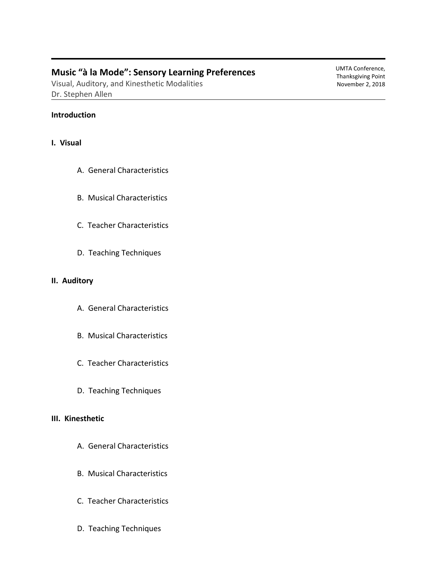# **Music "à la Mode": Sensory Learning Preferences**

Visual, Auditory, and Kinesthetic Modalities Dr. Stephen Allen

## **Introduction**

## **I. Visual**

- A. General Characteristics
- B. Musical Characteristics
- C. Teacher Characteristics
- D. Teaching Techniques

## **II. Auditory**

- A. General Characteristics
- B. Musical Characteristics
- C. Teacher Characteristics
- D. Teaching Techniques

## **III. Kinesthetic**

- A. General Characteristics
- B. Musical Characteristics
- C. Teacher Characteristics
- D. Teaching Techniques

UMTA Conference, Thanksgiving Point November 2, 2018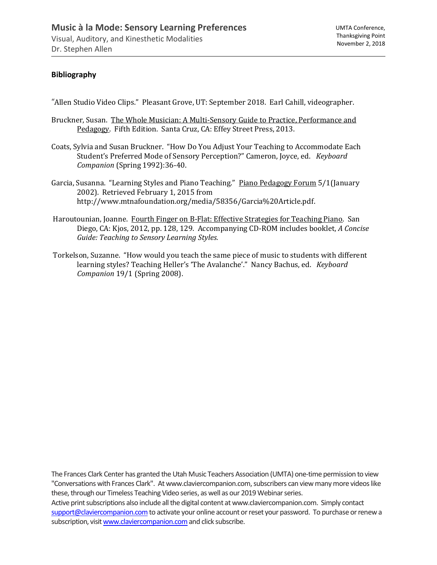# **Bibliography**

"Allen Studio Video Clips." Pleasant Grove, UT: September 2018. Earl Cahill, videographer.

- Bruckner, Susan. The Whole Musician: A Multi-Sensory Guide to Practice, Performance and Pedagogy. Fifth Edition. Santa Cruz, CA: Effey Street Press, 2013.
- Coats, Sylvia and Susan Bruckner. "How Do You Adjust Your Teaching to Accommodate Each Student's Preferred Mode of Sensory Perception?" Cameron, Joyce, ed. *Keyboard Companion* (Spring 1992):36-40.
- Garcia, Susanna. "Learning Styles and Piano Teaching." Piano Pedagogy Forum 5/1(January 2002). Retrieved February 1, 2015 from http://www.mtnafoundation.org/media/58356/Garcia%20Article.pdf.
- Haroutounian, Joanne. Fourth Finger on B-Flat: Effective Strategies for Teaching Piano. San Diego, CA: Kjos, 2012, pp. 128, 129. Accompanying CD-ROM includes booklet, *A Concise Guide: Teaching to Sensory Learning Styles.*
- Torkelson, Suzanne. "How would you teach the same piece of music to students with different learning styles? Teaching Heller's 'The Avalanche'." Nancy Bachus, ed. *Keyboard Companion* 19/1 (Spring 2008).

The Frances Clark Center has granted the Utah Music Teachers Association (UMTA) one-time permission to view "Conversations with Frances Clark". At www.claviercompanion.com, subscribers can view many more videos like these, through our Timeless Teaching Video series, as well as our 2019 Webinar series. Active print subscriptions also include all the digital content at www.claviercompanion.com. Simply contact support@claviercompanion.com to activate your online account or reset your password. To purchase or renew a subscription, visit www.claviercompanion.com and click subscribe.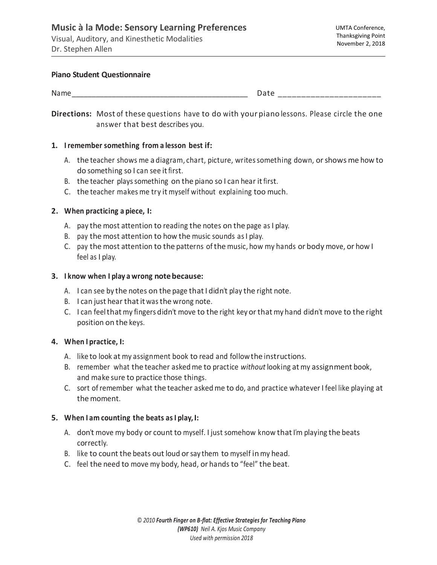#### **Piano Student Questionnaire**

| -NG |                                                                                                                         |
|-----|-------------------------------------------------------------------------------------------------------------------------|
|     | المستحققات والمتناقصة فسأنسخ المستحسن المستحسنا فسينا فسينا والمستحسنا فسينا فسينا فسينا فسينا فسينا فسينا فسيرا والمنا |

**Directions:** Most of these questions have to do with your piano lessons. Please circle the one answer that best describes you.

### **1. Iremember something from a lesson best if:**

- A. the teacher shows me a diagram, chart, picture, writessomething down, orshowsme how to do something so I can see itfirst.
- B. the teacher plays something on the piano so I can hear it first.
- C. the teacher makes me try it myself without explaining too much.

## **2. When practicing a piece, I:**

- A. pay the most attention to reading the notes on the page as I play.
- B. pay the most attention to how the music sounds asI play.
- C. pay the most attention to the patterns ofthe music, how my hands or body move, or how I feel as I play.

## **3. I know when I play a wrong notebecause:**

- A. I can see by the notes on the page that I didn't play the right note.
- B. I can just hear thatit wasthe wrong note.
- C. I can feel that my fingers didn't move to the right key or that my hand didn't move to the right position on the keys.

## **4. When I practice, I:**

- A. like to look at my assignment book to read and followthe instructions.
- B. remember what the teacher askedme to practice *without* looking atmy assignment book, and make sure to practice those things.
- C. sort ofremember what the teacher askedme to do, and practice whatever I feel like playing at the moment.

## **5. When I am counting the beats asI play, I:**

- A. don't move my body or count to myself. I just somehow know that I'm playing the beats correctly.
- B. like to count the beats out loud or say them to myself in my head.
- C. feel the need to move my body, head, or hands to "feel" the beat.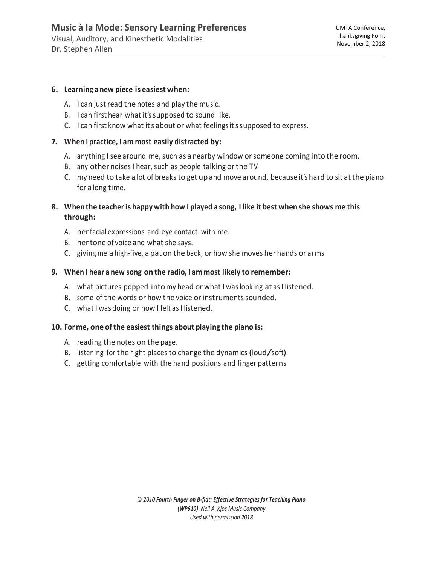#### **6. Learning a new piece is easiest when:**

- A. I can just read the notes and play the music.
- B. I can first hear what it'ssupposed to sound like.
- C. I can first know what it's about or what feelingsit'ssupposed to express.

## **7. When I practice, I am most easily distracted by:**

- A. anything I see around me, such as a nearby window or someone coming into the room.
- B. any other noisesI hear, such as people talking orthe TV.
- C. my need to take a lot of breaks to get up and move around, because it's hard to sit atthe piano for a long time.
- 8. When the teacher is happy with how I played a song, I like it best when she shows me this **through:**
	- A. herfacial expressions and eye contact with me.
	- B. hertone of voice and what she says.
	- C. giving me a high-five, a paton the back, or how she moves her hands or arms.

## **9. When I hear a new song on the radio, I am most likely to remember:**

- A. what pictures popped into my head or what I was looking at as I listened.
- B. some of the words or how the voice or instruments sounded.
- C. what I was doing or how I felt as I listened.

## **10. For me, one ofthe easiest things about playing the piano is:**

- A. reading the notes on the page.
- B. listening for the right places to change the dynamics (loud/soft).
- C. getting comfortable with the hand positions and finger patterns